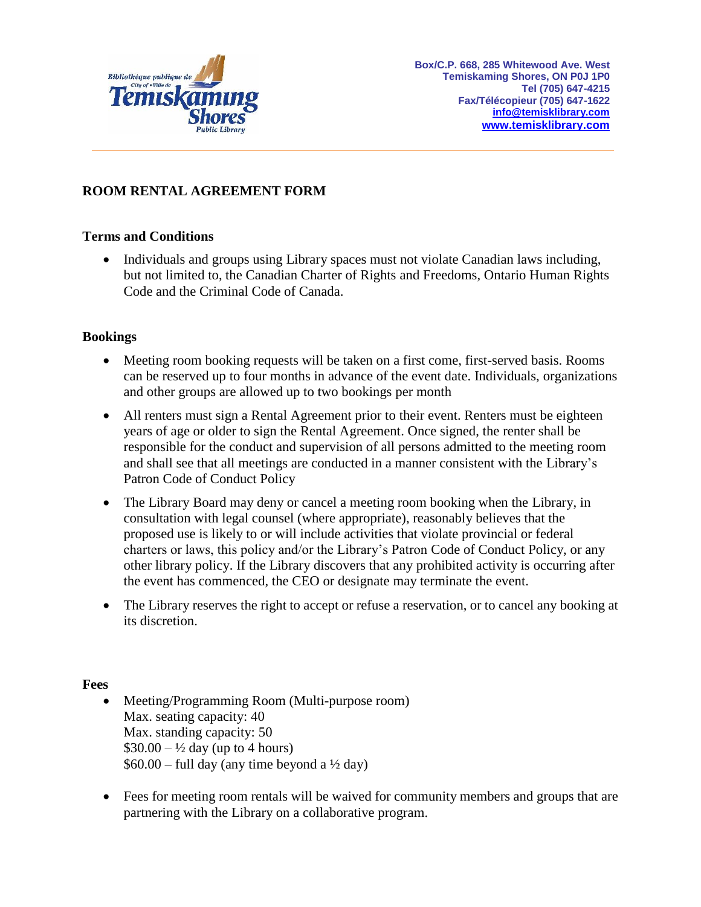

# **ROOM RENTAL AGREEMENT FORM**

# **Terms and Conditions**

 Individuals and groups using Library spaces must not violate Canadian laws including, but not limited to, the Canadian Charter of Rights and Freedoms, Ontario Human Rights Code and the Criminal Code of Canada.

# **Bookings**

- Meeting room booking requests will be taken on a first come, first-served basis. Rooms can be reserved up to four months in advance of the event date. Individuals, organizations and other groups are allowed up to two bookings per month
- All renters must sign a Rental Agreement prior to their event. Renters must be eighteen years of age or older to sign the Rental Agreement. Once signed, the renter shall be responsible for the conduct and supervision of all persons admitted to the meeting room and shall see that all meetings are conducted in a manner consistent with the Library's Patron Code of Conduct Policy
- The Library Board may deny or cancel a meeting room booking when the Library, in consultation with legal counsel (where appropriate), reasonably believes that the proposed use is likely to or will include activities that violate provincial or federal charters or laws, this policy and/or the Library's Patron Code of Conduct Policy, or any other library policy. If the Library discovers that any prohibited activity is occurring after the event has commenced, the CEO or designate may terminate the event.
- The Library reserves the right to accept or refuse a reservation, or to cancel any booking at its discretion.

### **Fees**

- Meeting/Programming Room (Multi-purpose room) Max. seating capacity: 40 Max. standing capacity: 50  $$30.00 - \frac{1}{2}$  day (up to 4 hours)  $$60.00 - full day (any time beyond a  $\frac{1}{2}$  day)$
- Fees for meeting room rentals will be waived for community members and groups that are partnering with the Library on a collaborative program.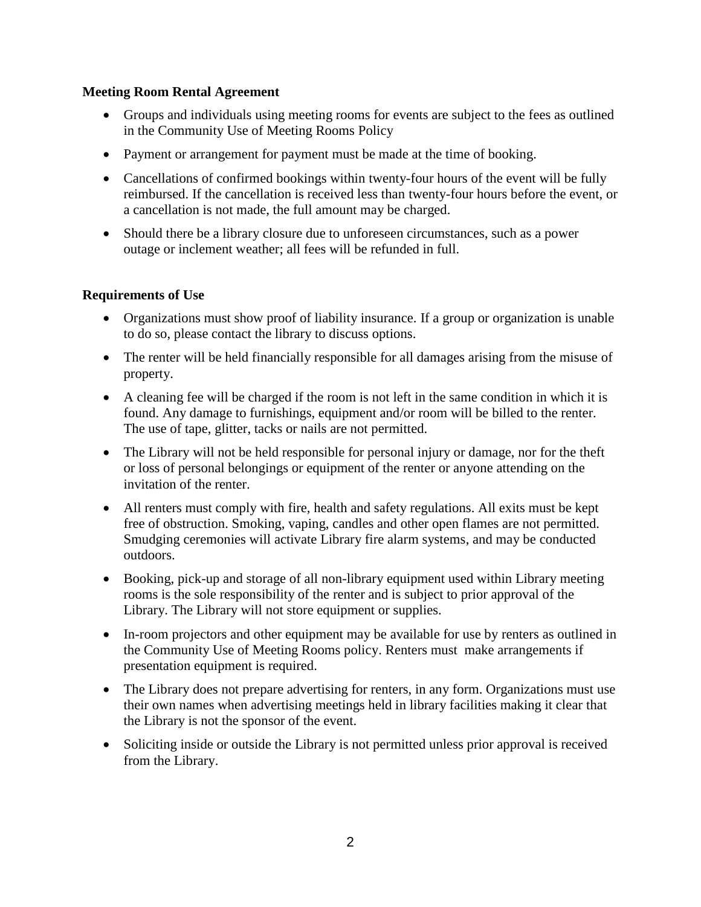# **Meeting Room Rental Agreement**

- Groups and individuals using meeting rooms for events are subject to the fees as outlined in the Community Use of Meeting Rooms Policy
- Payment or arrangement for payment must be made at the time of booking.
- Cancellations of confirmed bookings within twenty-four hours of the event will be fully reimbursed. If the cancellation is received less than twenty-four hours before the event, or a cancellation is not made, the full amount may be charged.
- Should there be a library closure due to unforeseen circumstances, such as a power outage or inclement weather; all fees will be refunded in full.

# **Requirements of Use**

- Organizations must show proof of liability insurance. If a group or organization is unable to do so, please contact the library to discuss options.
- The renter will be held financially responsible for all damages arising from the misuse of property.
- A cleaning fee will be charged if the room is not left in the same condition in which it is found. Any damage to furnishings, equipment and/or room will be billed to the renter. The use of tape, glitter, tacks or nails are not permitted.
- The Library will not be held responsible for personal injury or damage, nor for the theft or loss of personal belongings or equipment of the renter or anyone attending on the invitation of the renter.
- All renters must comply with fire, health and safety regulations. All exits must be kept free of obstruction. Smoking, vaping, candles and other open flames are not permitted. Smudging ceremonies will activate Library fire alarm systems, and may be conducted outdoors.
- Booking, pick-up and storage of all non-library equipment used within Library meeting rooms is the sole responsibility of the renter and is subject to prior approval of the Library. The Library will not store equipment or supplies.
- In-room projectors and other equipment may be available for use by renters as outlined in the Community Use of Meeting Rooms policy. Renters must make arrangements if presentation equipment is required.
- The Library does not prepare advertising for renters, in any form. Organizations must use their own names when advertising meetings held in library facilities making it clear that the Library is not the sponsor of the event.
- Soliciting inside or outside the Library is not permitted unless prior approval is received from the Library.